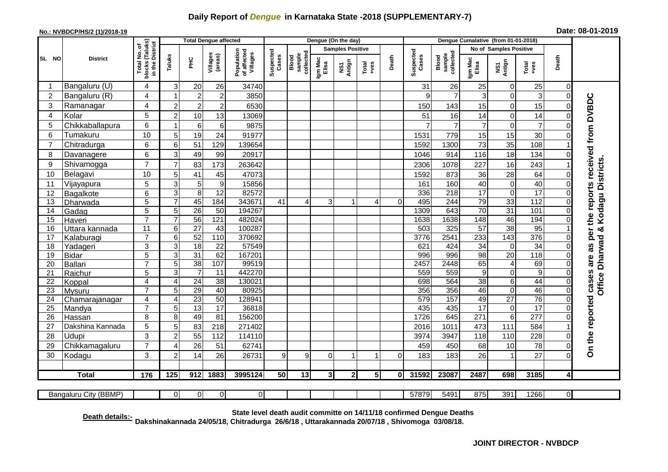## **Daily Report of** *Dengue* **in Karnataka State -2018 (SUPPLEMENTARY-7)**

## **No.: NVBDCP/HS/2 (1)/2018-19**

| Date: 08-01-2019 |  |  |  |
|------------------|--|--|--|
|------------------|--|--|--|

|                |                          | <b>Total Dengue affected</b>                       |                |                 |                     |                                       |                    |                              | Dengue (On the day) |                |                         |          |                    |                              |                  |                 |                        |                      |                                                                  |
|----------------|--------------------------|----------------------------------------------------|----------------|-----------------|---------------------|---------------------------------------|--------------------|------------------------------|---------------------|----------------|-------------------------|----------|--------------------|------------------------------|------------------|-----------------|------------------------|----------------------|------------------------------------------------------------------|
|                |                          |                                                    |                |                 |                     |                                       |                    |                              |                     |                | <b>Samples Positive</b> |          |                    |                              |                  |                 | No of Samples Positive |                      |                                                                  |
| <b>SL NO</b>   | <b>District</b>          | Total No. of<br>blocks (Taluks)<br>in the District | Taluks         | 옾               | Villages<br>(areas) | Population<br>of affected<br>Villages | Suspected<br>Cases | collected<br>sample<br>Blood | Igm Mac<br>Elisa    | Antign<br>Σń   | Total<br>+ves           | Death    | Suspected<br>Cases | collected<br>sample<br>Blood | Igm Mac<br>Elisa | NS1<br>Antign   | Total<br>+ves          | Death                |                                                                  |
| -1             | Bangaluru (U)            | 4                                                  | 3              | 20              | 26                  | 34740                                 |                    |                              |                     |                |                         |          | 31                 | 26                           | 25               | 0               | 25                     | $\Omega$             |                                                                  |
| $\overline{2}$ | Bangaluru (R)            | 4                                                  | 1              | $\overline{c}$  | $\boldsymbol{2}$    | 3850                                  |                    |                              |                     |                |                         |          | 9                  | $\overline{7}$               | 3                | $\mathbf 0$     | $\mathbf{3}$           | $\overline{0}$       |                                                                  |
| 3              | Ramanagar                | 4                                                  | $\overline{2}$ | $\overline{c}$  | $\overline{2}$      | 6530                                  |                    |                              |                     |                |                         |          | 150                | 143                          | 15               | $\Omega$        | 15                     | $\Omega$             | On the reported cases are as per the reports received from DVBDC |
| 4              | Kolar                    | 5                                                  | 2              | 10              | 13                  | 13069                                 |                    |                              |                     |                |                         |          | 51                 | 16                           | 14               | $\mathbf 0$     | 14                     | 0                    |                                                                  |
| 5              | Chikkaballapura          | 6                                                  | 1              | $\,6\,$         | $\,6\,$             | 9875                                  |                    |                              |                     |                |                         |          |                    | $\overline{7}$               | $\overline{7}$   | $\mathbf 0$     | $\overline{7}$         | 0                    |                                                                  |
| 6              | Tumakuru                 | 10                                                 | 5              | 19              | 24                  | 91977                                 |                    |                              |                     |                |                         |          | 1531               | 779                          | 15               | 15              | 30                     |                      |                                                                  |
| 7              | Chitradurga              | 6                                                  | 6              | 51              | 129                 | 139654                                |                    |                              |                     |                |                         |          | 1592               | 1300                         | 73               | 35              | 108                    |                      |                                                                  |
| 8              | Davanagere               | 6                                                  | 3              | 49              | 99                  | 20917                                 |                    |                              |                     |                |                         |          | 1046               | 914                          | 116              | 18              | 134                    |                      |                                                                  |
| 9              | Shivamogga               | $\overline{7}$                                     | $\overline{7}$ | 83              | 173                 | 263642                                |                    |                              |                     |                |                         |          | 2306               | 1078                         | 227              | 16              | 243                    |                      | Office Dharwad & Kodagu Districts                                |
| 10             | Belagavi                 | 10                                                 | 5              | 41              | 45                  | 47073                                 |                    |                              |                     |                |                         |          | 1592               | 873                          | 36               | 28              | 64                     | 0                    |                                                                  |
| 11             | Vijayapura               | 5                                                  | 3              | 5               | $\boldsymbol{9}$    | 15856                                 |                    |                              |                     |                |                         |          | 161                | 160                          | 40               | $\mathbf 0$     | 40                     | 0                    |                                                                  |
| 12             | Bagalkote                | 6                                                  | 3              | 8               | $\overline{12}$     | 82572                                 |                    |                              |                     |                |                         |          | 336                | 218                          | $\overline{17}$  | $\mathbf 0$     | 17                     |                      |                                                                  |
| 13             | Dharwada                 | $\overline{5}$                                     | $\overline{7}$ | 45              | 184                 | 343671                                | 41                 | 4                            | 3                   | 1              | 4                       | 0        | 495                | 244                          | 79               | 33              | 112                    | $\Omega$             |                                                                  |
| 14             | Gadag                    | $\overline{5}$                                     | 5              | 26              | 50                  | 194267                                |                    |                              |                     |                |                         |          | 1309               | 643                          | 70               | 31              | 101                    | $\Omega$             |                                                                  |
| 15             | Haveri                   | $\overline{7}$                                     | $\overline{7}$ | 56              | 121                 | 482024                                |                    |                              |                     |                |                         |          | 1638               | 1638                         | 148              | 46              | 194                    |                      |                                                                  |
| 16             | Uttara kannada           | $\overline{11}$                                    | 6              | 27              | 43                  | 100287                                |                    |                              |                     |                |                         |          | 503                | 325                          | 57               | $\overline{38}$ | $\overline{95}$        |                      |                                                                  |
| 17             | Kalaburagi               | $\overline{7}$                                     | 6              | 52              | 110                 | 370692                                |                    |                              |                     |                |                         |          | 3776               | 2541                         | 233              | 143             | 376                    | $\Omega$             |                                                                  |
| 18             | Yadageri                 | 3                                                  | 3              | $\overline{18}$ | $\overline{22}$     | 57549                                 |                    |                              |                     |                |                         |          | 621                | 424                          | $\overline{34}$  | $\mathbf 0$     | 34                     |                      |                                                                  |
| 19             | <b>Bidar</b>             | 5                                                  | 3              | 31              | 62                  | 167201                                |                    |                              |                     |                |                         |          | 996                | 996                          | 98               | 20              | 118                    |                      |                                                                  |
| 20             | Ballari                  | $\overline{7}$                                     | $\overline{5}$ | 38              | 107                 | 99519                                 |                    |                              |                     |                |                         |          | 2457               | 2448                         | 65               | $\overline{4}$  | 69                     |                      |                                                                  |
| 21             | Raichur                  | $\overline{5}$                                     | 3              | $\overline{7}$  | 11                  | 442270                                |                    |                              |                     |                |                         |          | 559                | 559                          | $\overline{9}$   | $\mathbf 0$     | $\overline{9}$         | 0                    |                                                                  |
| 22             | Koppal                   | $\overline{4}$<br>$\overline{7}$                   | 4              | $\overline{24}$ | $\overline{38}$     | 130021<br>80925                       |                    |                              |                     |                |                         |          | 698                | 564                          | 38               | 6               | 44                     | $\Omega$<br>$\Omega$ |                                                                  |
| 23<br>24       | Mysuru                   | 4                                                  | 5<br>4         | 29<br>23        | 40<br>50            | 128941                                |                    |                              |                     |                |                         |          | 356<br>579         | 356<br>157                   | 46<br>49         | $\pmb{0}$<br>27 | 46<br>$\overline{76}$  | $\mathbf{0}$         |                                                                  |
| 25             | Chamarajanagar<br>Mandya | $\overline{7}$                                     | 5              | 13              | $\overline{17}$     | 36818                                 |                    |                              |                     |                |                         |          | 435                | 435                          | $\overline{17}$  | $\mathbf 0$     | $\overline{17}$        | $\Omega$             |                                                                  |
| 26             | Hassan                   | 8                                                  | 8              | 49              | $\overline{81}$     | 156200                                |                    |                              |                     |                |                         |          | 1726               | 645                          | 271              | $\overline{6}$  | 277                    | $\Omega$             |                                                                  |
| 27             | Dakshina Kannada         | $\overline{5}$                                     | 5              | 83              | 218                 | 271402                                |                    |                              |                     |                |                         |          | 2016               | 1011                         | 473              | 111             | 584                    |                      |                                                                  |
| 28             | <b>Udupi</b>             | 3                                                  | $\overline{c}$ | 55              | 112                 | 114110                                |                    |                              |                     |                |                         |          | 3974               | 3947                         | 118              | 110             | 228                    |                      |                                                                  |
| 29             | Chikkamagaluru           | $\overline{7}$                                     | Δ              | 26              | 51                  | 62741                                 |                    |                              |                     |                |                         |          | 459                | 450                          | 68               | 10              | 78                     | 0                    |                                                                  |
| 30             | Kodagu                   | 3                                                  | $\overline{2}$ | 14              | 26                  | 26731                                 | 9                  | 9                            | $\Omega$            |                | 1                       | $\Omega$ | 183                | 183                          | 26               |                 | $\overline{27}$        | $\Omega$             |                                                                  |
|                |                          |                                                    |                |                 |                     |                                       |                    |                              |                     |                |                         |          |                    |                              |                  |                 |                        |                      |                                                                  |
|                | <b>Total</b>             | 176                                                | 125            | 912             | 1883                | 3995124                               | 50                 | 13                           | 3                   | 2 <sup>1</sup> | 5 <sub>l</sub>          | $\bf{0}$ | 31592              | 23087                        | 2487             | 698             | 3185                   | 4                    |                                                                  |
|                |                          |                                                    |                |                 |                     |                                       |                    |                              |                     |                |                         |          |                    |                              |                  |                 |                        |                      |                                                                  |
|                | Bangaluru City (BBMP)    |                                                    | $\Omega$       | $\Omega$        | $\overline{0}$      | $\overline{0}$                        |                    |                              |                     |                |                         |          | 57879              | 5491                         | 875              | 391             | 1266                   | $\overline{0}$       |                                                                  |

**Death details:- State level death audit committe on 14/11/18 confirmed Dengue Deaths Dakshinakannada 24/05/18, Chitradurga 26/6/18 , Uttarakannada 20/07/18 , Shivomoga 03/08/18.**